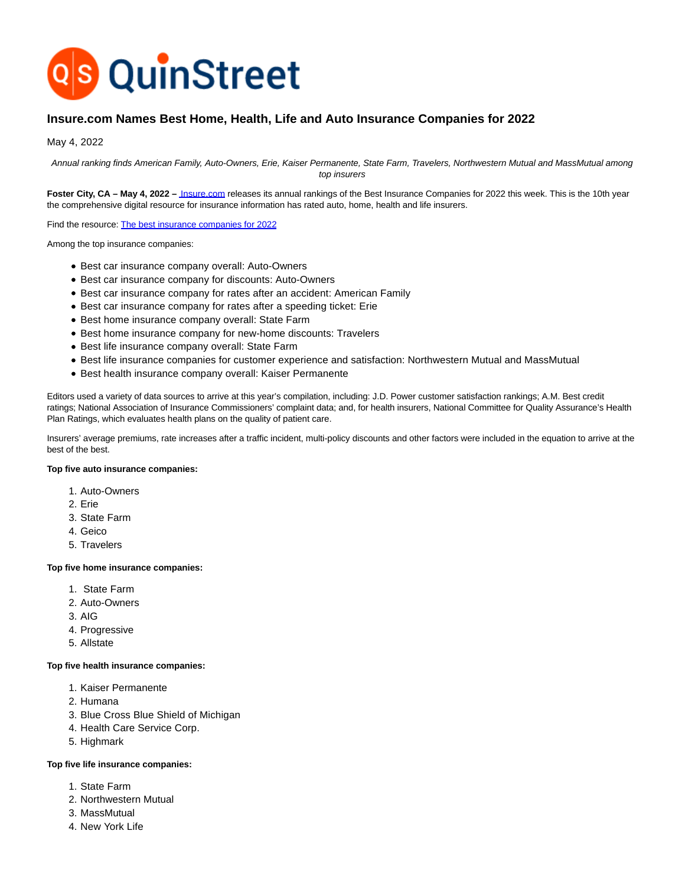

# **Insure.com Names Best Home, Health, Life and Auto Insurance Companies for 2022**

May 4, 2022

Annual ranking finds American Family, Auto-Owners, Erie, Kaiser Permanente, State Farm, Travelers, Northwestern Mutual and MassMutual among top insurers

Foster City, CA – May 4, 2022 – *Insure.com* releases its annual rankings of the Best Insurance Companies for 2022 this week. This is the 10th year the comprehensive digital resource for insurance information has rated auto, home, health and life insurers.

Find the resource[: The best insurance companies for 2022](https://www.insure.com/best-insurance-companies.html)

Among the top insurance companies:

- Best car insurance company overall: Auto-Owners
- Best car insurance company for discounts: Auto-Owners
- Best car insurance company for rates after an accident: American Family
- Best car insurance company for rates after a speeding ticket: Erie
- Best home insurance company overall: State Farm
- Best home insurance company for new-home discounts: Travelers
- Best life insurance company overall: State Farm
- Best life insurance companies for customer experience and satisfaction: Northwestern Mutual and MassMutual
- Best health insurance company overall: Kaiser Permanente

Editors used a variety of data sources to arrive at this year's compilation, including: J.D. Power customer satisfaction rankings; A.M. Best credit ratings; National Association of Insurance Commissioners' complaint data; and, for health insurers, National Committee for Quality Assurance's Health Plan Ratings, which evaluates health plans on the quality of patient care.

Insurers' average premiums, rate increases after a traffic incident, multi-policy discounts and other factors were included in the equation to arrive at the best of the best.

### **Top five auto insurance companies:**

- 1. Auto-Owners
- 2. Erie
- 3. State Farm
- 4. Geico
- 5. Travelers

#### **Top five home insurance companies:**

- 1. State Farm
- 2. Auto-Owners
- 3. AIG
- 4. Progressive
- 5. Allstate

#### **Top five health insurance companies:**

- 1. Kaiser Permanente
- 2. Humana
- 3. Blue Cross Blue Shield of Michigan
- 4. Health Care Service Corp.
- 5. Highmark

### **Top five life insurance companies:**

- 1. State Farm
- 2. Northwestern Mutual
- 3. MassMutual
- 4. New York Life